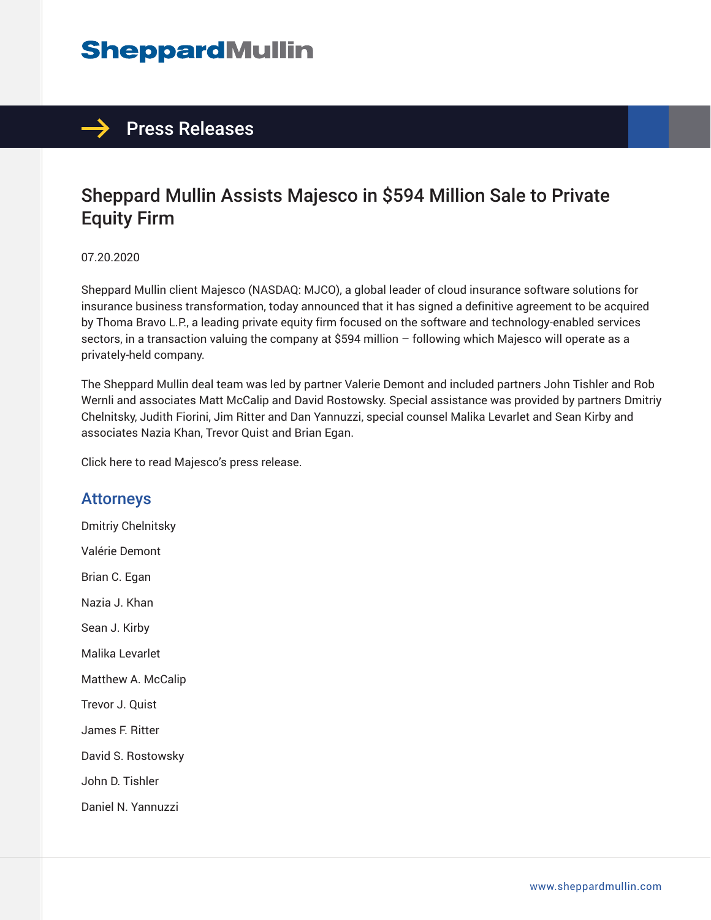# **SheppardMullin**



### Sheppard Mullin Assists Majesco in \$594 Million Sale to Private Equity Firm

07.20.2020

Sheppard Mullin client Majesco (NASDAQ: MJCO), a global leader of cloud insurance software solutions for insurance business transformation, today announced that it has signed a definitive agreement to be acquired by Thoma Bravo L.P., a leading private equity firm focused on the software and technology-enabled services sectors, in a transaction valuing the company at \$594 million – following which Majesco will operate as a privately-held company.

The Sheppard Mullin deal team was led by partner Valerie Demont and included partners John Tishler and Rob Wernli and associates Matt McCalip and David Rostowsky. Special assistance was provided by partners Dmitriy Chelnitsky, Judith Fiorini, Jim Ritter and Dan Yannuzzi, special counsel Malika Levarlet and Sean Kirby and associates Nazia Khan, Trevor Quist and Brian Egan.

Click here to read Majesco's press release.

#### Attorneys

Dmitriy Chelnitsky Valérie Demont Brian C. Egan Nazia J. Khan Sean J. Kirby Malika Levarlet Matthew A. McCalip Trevor J. Quist James F. Ritter David S. Rostowsky John D. Tishler Daniel N. Yannuzzi